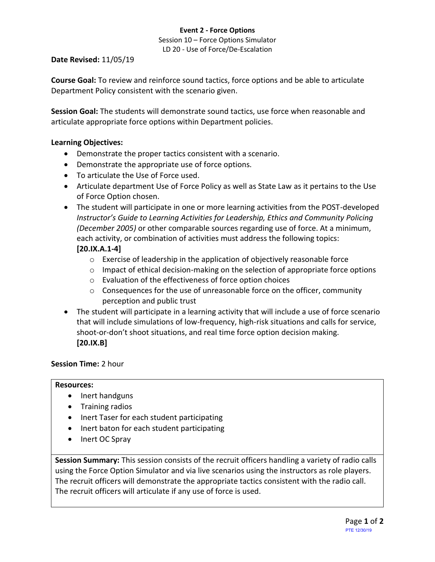#### **Event 2 - Force Options**

Session 10 – Force Options Simulator LD 20 - Use of Force/De-Escalation

#### **Date Revised:** 11/05/19

**Course Goal:** To review and reinforce sound tactics, force options and be able to articulate Department Policy consistent with the scenario given.

**Session Goal:** The students will demonstrate sound tactics, use force when reasonable and articulate appropriate force options within Department policies.

# **Learning Objectives:**

- Demonstrate the proper tactics consistent with a scenario.
- Demonstrate the appropriate use of force options.
- To articulate the Use of Force used.
- Articulate department Use of Force Policy as well as State Law as it pertains to the Use of Force Option chosen.
- The student will participate in one or more learning activities from the POST-developed *Instructor's Guide to Learning Activities for Leadership, Ethics and Community Policing (December 2005)* or other comparable sources regarding use of force. At a minimum, each activity, or combination of activities must address the following topics: **[20.IX.A.1-4]**
	- o Exercise of leadership in the application of objectively reasonable force
	- $\circ$  Impact of ethical decision-making on the selection of appropriate force options
	- o Evaluation of the effectiveness of force option choices
	- o Consequences for the use of unreasonable force on the officer, community perception and public trust
- The student will participate in a learning activity that will include a use of force scenario that will include simulations of low-frequency, high-risk situations and calls for service, shoot-or-don't shoot situations, and real time force option decision making. **[20.IX.B]**

# **Session Time:** 2 hour

#### **Resources:**

- Inert handguns
- Training radios
- Inert Taser for each student participating
- Inert baton for each student participating
- Inert OC Spray

**Session Summary:** This session consists of the recruit officers handling a variety of radio calls using the Force Option Simulator and via live scenarios using the instructors as role players. The recruit officers will demonstrate the appropriate tactics consistent with the radio call. The recruit officers will articulate if any use of force is used.